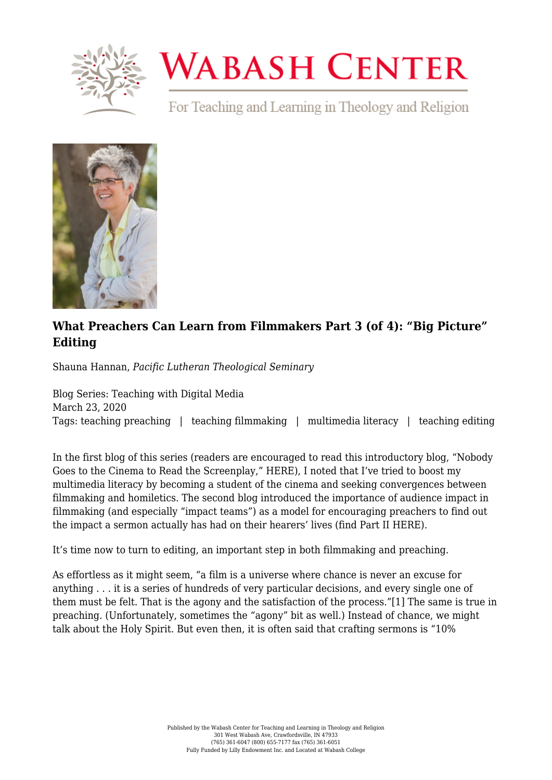

## **WABASH CENTER**

For Teaching and Learning in Theology and Religion



## **[What Preachers Can Learn from Filmmakers Part 3 \(of 4\): "Big Picture"](https://www.wabashcenter.wabash.edu/2020/03/what-preachers-can-learn-from-filmmakers-part-3-of-4-big-picture-editing/) [Editing](https://www.wabashcenter.wabash.edu/2020/03/what-preachers-can-learn-from-filmmakers-part-3-of-4-big-picture-editing/)**

Shauna Hannan, *Pacific Lutheran Theological Seminary*

Blog Series: Teaching with Digital Media March 23, 2020 Tags: teaching preaching | teaching filmmaking | multimedia literacy | teaching editing

In the first blog of this series (readers are encouraged to read this introductory blog, "Nobody Goes to the Cinema to Read the Screenplay," [HERE\)](https://www.wabashcenter.wabash.edu/2020/01/what-preachers-can-learn-from-filmmakers-part-1-of-4-nobody-goes-to-the-cinema-to-read-the-screenplay/), I noted that I've tried to boost my multimedia literacy by becoming a student of the cinema and seeking convergences between filmmaking and homiletics. The second blog introduced the importance of audience impact in filmmaking (and especially "impact teams") as a model for encouraging preachers to find out the impact a sermon actually has had on their hearers' lives (find Part II [HERE](https://www.wabashcenter.wabash.edu/2020/02/what-preachers-can-learn-from-filmmakers-part-2-of-4-impact-teams/)).

It's time now to turn to editing, an important step in both filmmaking and preaching.

<span id="page-0-0"></span>As effortless as it might seem, "a film is a universe where chance is never an excuse for anything . . . it is a series of hundreds of very particular decisions, and every single one of them must be felt. That is the agony and the satisfaction of the process."[\[1\]](#page-2-0) The same is true in preaching. (Unfortunately, sometimes the "agony" bit as well.) Instead of chance, we might talk about the Holy Spirit. But even then, it is often said that crafting sermons is "10%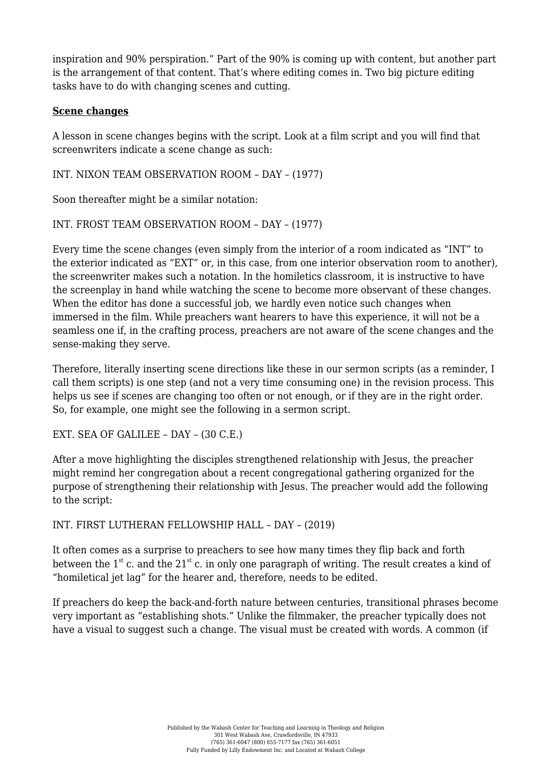inspiration and 90% perspiration." Part of the 90% is coming up with content, but another part is the arrangement of that content. That's where editing comes in. Two big picture editing tasks have to do with changing scenes and cutting.

## **Scene changes**

A lesson in scene changes begins with the script. Look at a film script and you will find that screenwriters indicate a scene change as such:

INT. NIXON TEAM OBSERVATION ROOM – DAY – (1977)

Soon thereafter might be a similar notation:

```
INT. FROST TEAM OBSERVATION ROOM – DAY – (1977)
```
Every time the scene changes (even simply from the interior of a room indicated as "INT" to the exterior indicated as "EXT" or, in this case, from one interior observation room to another), the screenwriter makes such a notation. In the homiletics classroom, it is instructive to have the screenplay in hand while watching the scene to become more observant of these changes. When the editor has done a successful job, we hardly even notice such changes when immersed in the film. While preachers want hearers to have this experience, it will not be a seamless one if, in the crafting process, preachers are not aware of the scene changes and the sense-making they serve.

Therefore, literally inserting scene directions like these in our sermon scripts (as a reminder, I call them scripts) is one step (and not a very time consuming one) in the revision process. This helps us see if scenes are changing too often or not enough, or if they are in the right order. So, for example, one might see the following in a sermon script.

EXT. SEA OF GALILEE – DAY – (30 C.E.)

After a move highlighting the disciples strengthened relationship with Jesus, the preacher might remind her congregation about a recent congregational gathering organized for the purpose of strengthening their relationship with Jesus. The preacher would add the following to the script:

INT. FIRST LUTHERAN FELLOWSHIP HALL – DAY – (2019)

It often comes as a surprise to preachers to see how many times they flip back and forth between the  $1^{st}$  c. and the  $21^{st}$  c. in only one paragraph of writing. The result creates a kind of "homiletical jet lag" for the hearer and, therefore, needs to be edited.

If preachers do keep the back-and-forth nature between centuries, transitional phrases become very important as "establishing shots." Unlike the filmmaker, the preacher typically does not have a visual to suggest such a change. The visual must be created with words. A common (if